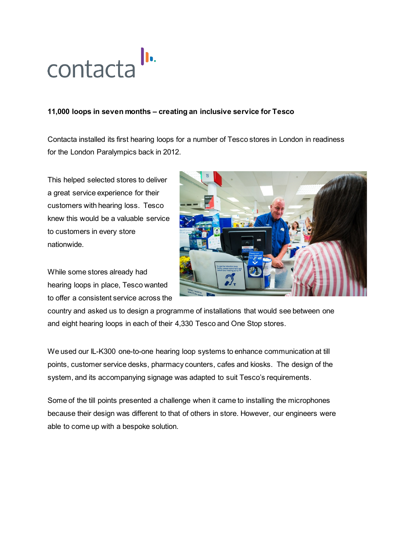

## **11,000 loops in seven months – creating an inclusive service for Tesco**

Contacta installed its first hearing loops for a number of Tesco stores in London in readiness for the London Paralympics back in 2012.

This helped selected stores to deliver a great service experience for their customers with hearing loss. Tesco knew this would be a valuable service to customers in every store nationwide.

While some stores already had hearing loops in place, Tesco wanted to offer a consistent service across the



country and asked us to design a programme of installations that would see between one and eight hearing loops in each of their 4,330 Tesco and One Stop stores.

We used our IL-K300 one-to-one hearing loop systems to enhance communication at till points, customer service desks, pharmacy counters, cafes and kiosks. The design of the system, and its accompanying signage was adapted to suit Tesco's requirements.

Some of the till points presented a challenge when it came to installing the microphones because their design was different to that of others in store. However, our engineers were able to come up with a bespoke solution.